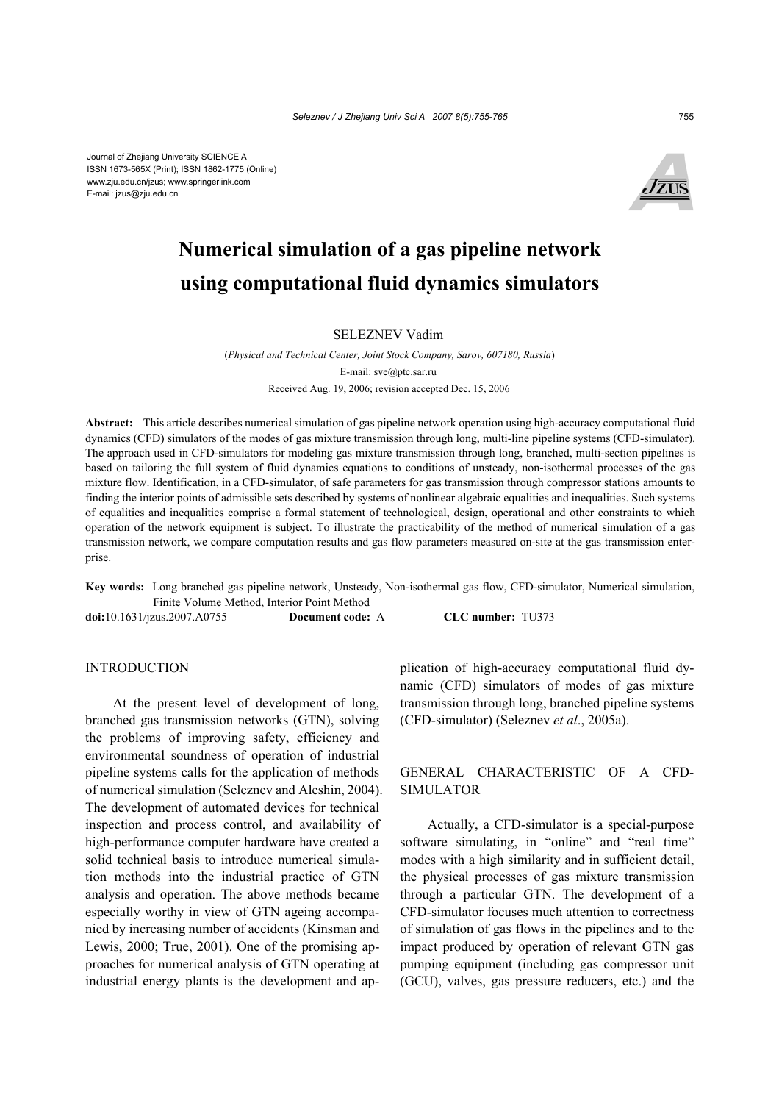Journal of Zhejiang University SCIENCE A ISSN 1673-565X (Print); ISSN 1862-1775 (Online) www.zju.edu.cn/jzus; www.springerlink.com E-mail: jzus@zju.edu.cn



# **Numerical simulation of a gas pipeline network using computational fluid dynamics simulators**

## SELEZNEV Vadim

(*Physical and Technical Center, Joint Stock Company, Sarov, 607180, Russia*) E-mail: sve@ptc.sar.ru Received Aug. 19, 2006; revision accepted Dec. 15, 2006

**Abstract:** This article describes numerical simulation of gas pipeline network operation using high-accuracy computational fluid dynamics (CFD) simulators of the modes of gas mixture transmission through long, multi-line pipeline systems (CFD-simulator). The approach used in CFD-simulators for modeling gas mixture transmission through long, branched, multi-section pipelines is based on tailoring the full system of fluid dynamics equations to conditions of unsteady, non-isothermal processes of the gas mixture flow. Identification, in a CFD-simulator, of safe parameters for gas transmission through compressor stations amounts to finding the interior points of admissible sets described by systems of nonlinear algebraic equalities and inequalities. Such systems of equalities and inequalities comprise a formal statement of technological, design, operational and other constraints to which operation of the network equipment is subject. To illustrate the practicability of the method of numerical simulation of a gas transmission network, we compare computation results and gas flow parameters measured on-site at the gas transmission enterprise.

**Key words:** Long branched gas pipeline network, Unsteady, Non-isothermal gas flow, CFD-simulator, Numerical simulation, Finite Volume Method, Interior Point Method

**doi:**10.1631/jzus.2007.A0755 **Document code:** A **CLC number:** TU373

## INTRODUCTION

At the present level of development of long, branched gas transmission networks (GTN), solving the problems of improving safety, efficiency and environmental soundness of operation of industrial pipeline systems calls for the application of methods of numerical simulation (Seleznev and Aleshin, 2004). The development of automated devices for technical inspection and process control, and availability of high-performance computer hardware have created a solid technical basis to introduce numerical simulation methods into the industrial practice of GTN analysis and operation. The above methods became especially worthy in view of GTN ageing accompanied by increasing number of accidents (Kinsman and Lewis, 2000; True, 2001). One of the promising approaches for numerical analysis of GTN operating at industrial energy plants is the development and application of high-accuracy computational fluid dynamic (CFD) simulators of modes of gas mixture transmission through long, branched pipeline systems (CFD-simulator) (Seleznev *et al*., 2005a).

## GENERAL CHARACTERISTIC OF A CFD-SIMULATOR

Actually, a CFD-simulator is a special-purpose software simulating, in "online" and "real time" modes with a high similarity and in sufficient detail, the physical processes of gas mixture transmission through a particular GTN. The development of a CFD-simulator focuses much attention to correctness of simulation of gas flows in the pipelines and to the impact produced by operation of relevant GTN gas pumping equipment (including gas compressor unit (GCU), valves, gas pressure reducers, etc.) and the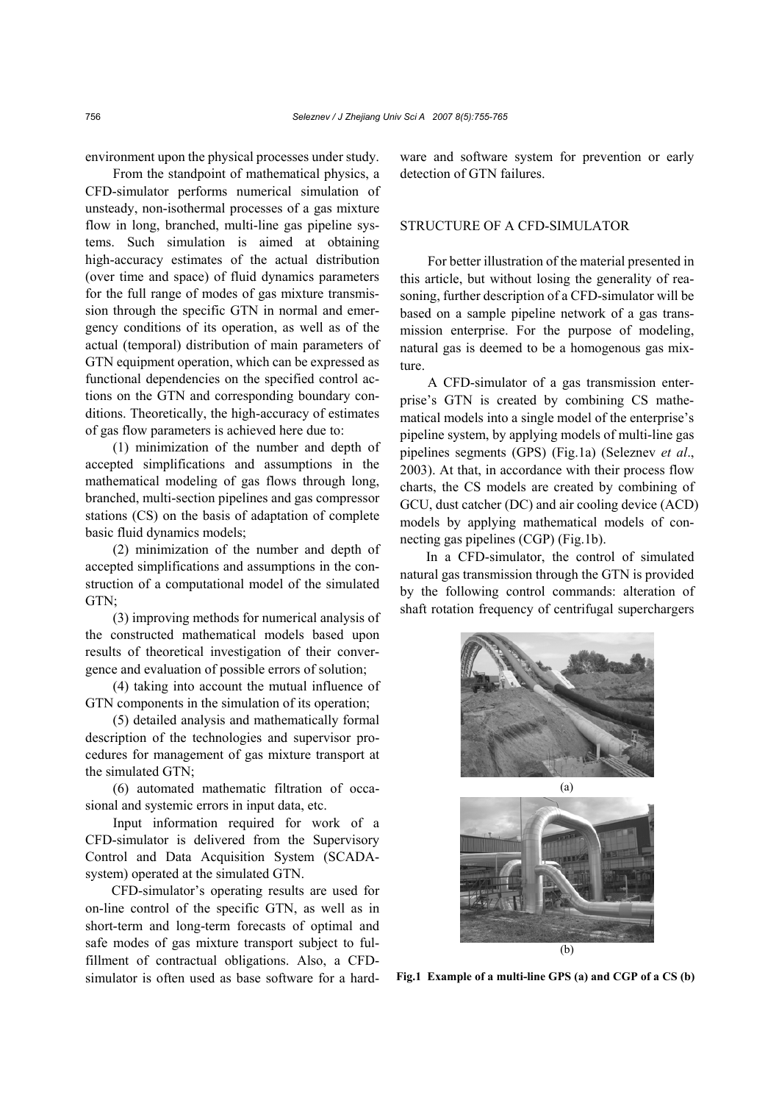environment upon the physical processes under study.

From the standpoint of mathematical physics, a CFD-simulator performs numerical simulation of unsteady, non-isothermal processes of a gas mixture flow in long, branched, multi-line gas pipeline systems. Such simulation is aimed at obtaining high-accuracy estimates of the actual distribution (over time and space) of fluid dynamics parameters for the full range of modes of gas mixture transmission through the specific GTN in normal and emergency conditions of its operation, as well as of the actual (temporal) distribution of main parameters of GTN equipment operation, which can be expressed as functional dependencies on the specified control actions on the GTN and corresponding boundary conditions. Theoretically, the high-accuracy of estimates of gas flow parameters is achieved here due to:

(1) minimization of the number and depth of accepted simplifications and assumptions in the mathematical modeling of gas flows through long, branched, multi-section pipelines and gas compressor stations (CS) on the basis of adaptation of complete basic fluid dynamics models;

(2) minimization of the number and depth of accepted simplifications and assumptions in the construction of a computational model of the simulated  $GTN$ 

(3) improving methods for numerical analysis of the constructed mathematical models based upon results of theoretical investigation of their convergence and evaluation of possible errors of solution;

(4) taking into account the mutual influence of GTN components in the simulation of its operation;

(5) detailed analysis and mathematically formal description of the technologies and supervisor procedures for management of gas mixture transport at the simulated GTN;

(6) automated mathematic filtration of occasional and systemic errors in input data, etc.

Input information required for work of a CFD-simulator is delivered from the Supervisory Control and Data Acquisition System (SCADAsystem) operated at the simulated GTN.

CFD-simulator's operating results are used for on-line control of the specific GTN, as well as in short-term and long-term forecasts of optimal and safe modes of gas mixture transport subject to fulfillment of contractual obligations. Also, a CFDsimulator is often used as base software for a hardware and software system for prevention or early detection of GTN failures.

## STRUCTURE OF A CFD-SIMULATOR

For better illustration of the material presented in this article, but without losing the generality of reasoning, further description of a CFD-simulator will be based on a sample pipeline network of a gas transmission enterprise. For the purpose of modeling, natural gas is deemed to be a homogenous gas mixture.

A CFD-simulator of a gas transmission enterprise's GTN is created by combining CS mathematical models into a single model of the enterprise's pipeline system, by applying models of multi-line gas pipelines segments (GPS) (Fig.1a) (Seleznev *et al*., 2003). At that, in accordance with their process flow charts, the CS models are created by combining of GCU, dust catcher (DC) and air cooling device (ACD) models by applying mathematical models of connecting gas pipelines (CGP) (Fig.1b).

In a CFD-simulator, the control of simulated natural gas transmission through the GTN is provided by the following control commands: alteration of shaft rotation frequency of centrifugal superchargers





**Fig.1 Example of a multi-line GPS (a) and CGP of a CS (b)**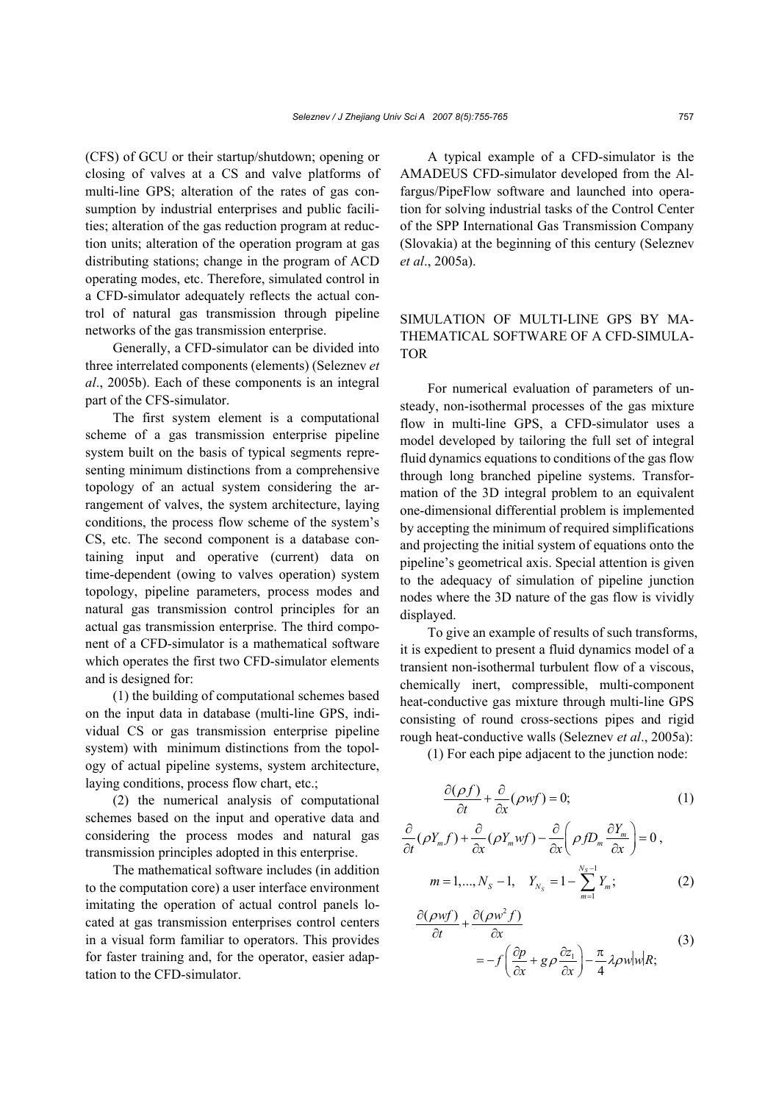(CFS) of GCU or their startup/shutdown; opening or closing of valves at a CS and valve platforms of multi-line GPS; alteration of the rates of gas consumption by industrial enterprises and public facilities; alteration of the gas reduction program at reduction units; alteration of the operation program at gas distributing stations; change in the program of ACD operating modes, etc. Therefore, simulated control in a CFD-simulator adequately reflects the actual control of natural gas transmission through pipeline networks of the gas transmission enterprise.

Generally, a CFD-simulator can be divided into three interrelated components (elements) (Seleznev *et al*., 2005b). Each of these components is an integral part of the CFS-simulator.

The first system element is a computational scheme of a gas transmission enterprise pipeline system built on the basis of typical segments representing minimum distinctions from a comprehensive topology of an actual system considering the arrangement of valves, the system architecture, laying conditions, the process flow scheme of the system's CS, etc. The second component is a database containing input and operative (current) data on time-dependent (owing to valves operation) system topology, pipeline parameters, process modes and natural gas transmission control principles for an actual gas transmission enterprise. The third component of a CFD-simulator is a mathematical software which operates the first two CFD-simulator elements and is designed for:

(1) the building of computational schemes based on the input data in database (multi-line GPS, individual CS or gas transmission enterprise pipeline system) with minimum distinctions from the topology of actual pipeline systems, system architecture, laying conditions, process flow chart, etc.;

(2) the numerical analysis of computational schemes based on the input and operative data and considering the process modes and natural gas transmission principles adopted in this enterprise.

The mathematical software includes (in addition to the computation core) a user interface environment imitating the operation of actual control panels located at gas transmission enterprises control centers in a visual form familiar to operators. This provides for faster training and, for the operator, easier adaptation to the CFD-simulator.

A typical example of a CFD-simulator is the AMADEUS CFD-simulator developed from the Alfargus/PipeFlow software and launched into operation for solving industrial tasks of the Control Center of the SPP International Gas Transmission Company (Slovakia) at the beginning of this century (Seleznev *et al*., 2005a).

# SIMULATION OF MULTI-LINE GPS BY MA-THEMATICAL SOFTWARE OF A CFD-SIMULA-TOR

For numerical evaluation of parameters of unsteady, non-isothermal processes of the gas mixture flow in multi-line GPS, a CFD-simulator uses a model developed by tailoring the full set of integral fluid dynamics equations to conditions of the gas flow through long branched pipeline systems. Transformation of the 3D integral problem to an equivalent one-dimensional differential problem is implemented by accepting the minimum of required simplifications and projecting the initial system of equations onto the pipeline's geometrical axis. Special attention is given to the adequacy of simulation of pipeline junction nodes where the 3D nature of the gas flow is vividly displayed.

To give an example of results of such transforms, it is expedient to present a fluid dynamics model of a transient non-isothermal turbulent flow of a viscous, chemically inert, compressible, multi-component heat-conductive gas mixture through multi-line GPS consisting of round cross-sections pipes and rigid rough heat-conductive walls (Seleznev *et al*., 2005a):

(1) For each pipe adjacent to the junction node:

$$
\frac{\partial(\rho f)}{\partial t} + \frac{\partial}{\partial x}(\rho wf) = 0; \tag{1}
$$

$$
\frac{\partial}{\partial t}(\rho Y_m f) + \frac{\partial}{\partial x}(\rho Y_m wf) - \frac{\partial}{\partial x}\left(\rho f D_m \frac{\partial Y_m}{\partial x}\right) = 0,
$$
  
\n
$$
m = 1,..., N_S - 1, \quad Y_{N_S} = 1 - \sum_{m=1}^{N_S - 1} Y_m;
$$
\n(2)

$$
\frac{\partial(\rho wf)}{\partial t} + \frac{\partial(\rho w^2 f)}{\partial x} = -f\left(\frac{\partial p}{\partial x} + g\rho \frac{\partial z_1}{\partial x}\right) - \frac{\pi}{4} \lambda \rho w \wedge R; \tag{3}
$$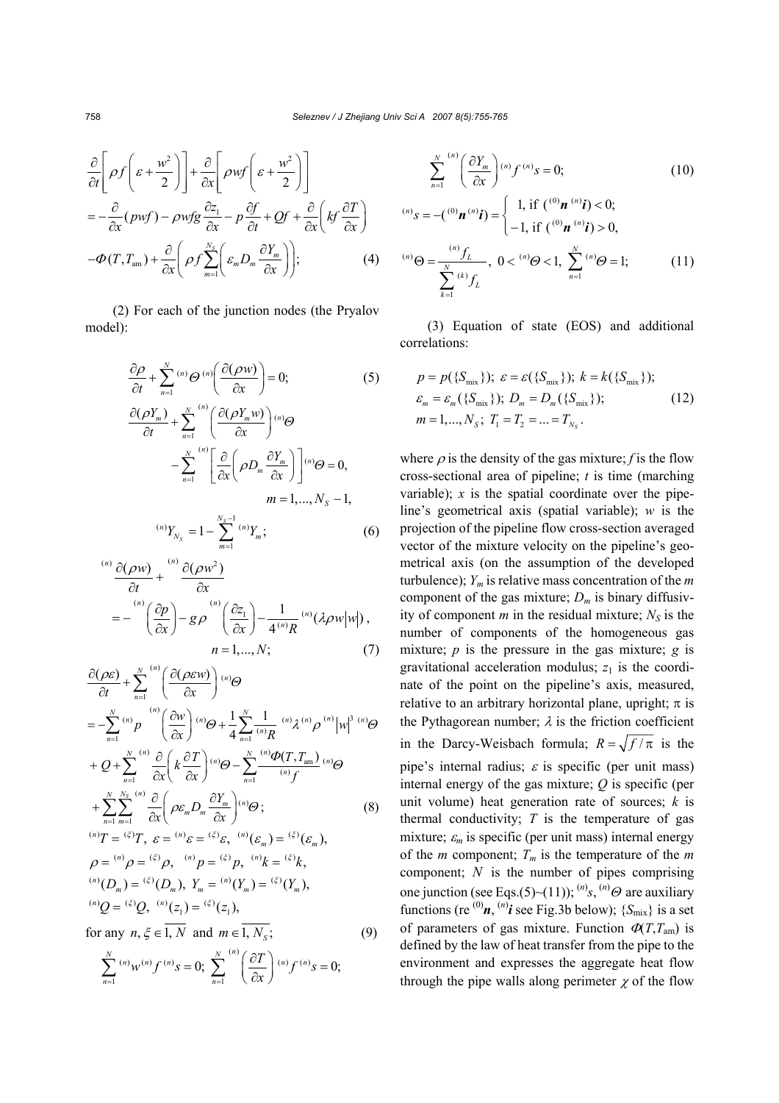$$
\frac{\partial}{\partial t} \left[ \rho f \left( \varepsilon + \frac{w^2}{2} \right) \right] + \frac{\partial}{\partial x} \left[ \rho w f \left( \varepsilon + \frac{w^2}{2} \right) \right]
$$
\n
$$
= -\frac{\partial}{\partial x} (\rho w f) - \rho w f g \frac{\partial z_1}{\partial x} - p \frac{\partial f}{\partial t} + Q f + \frac{\partial}{\partial x} \left( k f \frac{\partial T}{\partial x} \right)
$$
\n
$$
- \Phi (T, T_{\rm am}) + \frac{\partial}{\partial x} \left( \rho f \sum_{m=1}^{N_s} \left( \varepsilon_m D_m \frac{\partial Y_m}{\partial x} \right) \right); \tag{4}
$$

(2) For each of the junction nodes (the Pryalov model):

$$
\frac{\partial \rho}{\partial t} + \sum_{n=1}^{N} {^{(n)}\Theta}^{(n)} \bigg( \frac{\partial (\rho w)}{\partial x} \bigg) = 0; \qquad (5)
$$
  

$$
\frac{\partial (\rho Y_m)}{\partial t} + \sum_{n=1}^{N} {^{(n)} \bigg( \frac{\partial (\rho Y_m w)}{\partial x} \bigg)}^{(n)} \bigg( w \bigg) \Theta
$$

$$
- \sum_{n=1}^{N} {^{(n)} \bigg[ \frac{\partial}{\partial x} \bigg( \rho D_m \frac{\partial Y_m}{\partial x} \bigg) \bigg]}^{(n)} \bigg( w \bigg) = 0, \qquad m = 1, ..., N_S - 1,
$$

$$
^{(n)}Y_{N_{S}} = 1 - \sum_{m=1}^{N_{S}-1} {}^{(n)}Y_{m};
$$
 (6)

$$
\frac{\partial(\rho w)}{\partial t} + \frac{m \partial(\rho w^2)}{\partial x}
$$
\n
$$
= -\left(\frac{\partial p}{\partial x}\right) - g \rho \frac{m}{\left(\frac{\partial z_1}{\partial x}\right)} - \frac{1}{4\binom{n}{x}} \left(\frac{\partial \rho w}{\partial y}\right),
$$
\n
$$
n = 1, ..., N; \tag{7}
$$

$$
\frac{\partial(\rho \varepsilon)}{\partial t} + \sum_{n=1}^{N} {^{(n)} \left( \frac{\partial(\rho \varepsilon w)}{\partial x} \right)^{n} \Theta}
$$
\n
$$
= -\sum_{n=1}^{N} {^{(n)} p} \left( \frac{\partial w}{\partial x} \right)^{n} \Theta + \frac{1}{4} \sum_{n=1}^{N} \frac{1}{^{(n)} R} {^{(n)} \lambda^{(n)} \rho} {^{(n)} |w|}^{3} {^{(n)} \Theta}
$$
\n
$$
+ Q + \sum_{n=1}^{N} \frac{\partial}{\partial x} \left( k \frac{\partial T}{\partial x} \right)^{n} \Theta - \sum_{n=1}^{N} \frac{^{(n)} \Phi(T, T_{\text{am}})}{^{(n)} f} {^{(n)} \Theta}
$$
\n
$$
+ \sum_{n=1}^{N} \sum_{m=1}^{N_S} {^{(n)} \frac{\partial}{\partial x} \left( \rho \varepsilon_m D_m \frac{\partial Y_m}{\partial x} \right)^{n} \Theta}; \qquad (8)
$$
\n
$$
^{(n)} T = {^{(\varepsilon)} T}, \ \varepsilon = {^{(n)} \varepsilon} = {^{(\varepsilon)} \varepsilon}, \ {^{(n)} (\varepsilon_m)} = {^{(\varepsilon)} (\varepsilon_m)},
$$
\n
$$
\rho = {^{(n)} \rho} = {^{(\varepsilon)} \rho}, \ {^{(n)} p} = {^{(\varepsilon)} p}, \ {^{(n)} k} = {^{(\varepsilon)} k},
$$
\n
$$
{^{(n)}(D_m)} = {^{(\varepsilon)}(D_m)}, Y_m = {^{(n)}(Y_m)} = {^{(\varepsilon)}(Y_m)},
$$
\n
$$
{^{(n)}Q} = {^{(\varepsilon)}Q}, \ {^{(n)}(z_1)} = {^{(\varepsilon)}(z_1)},
$$

for any  $n, \xi \in \overline{1, N}$  and  $m \in \overline{1, N_s}$ ; (9)

$$
\sum_{n=1}^{N} {}^{(n)}w^{(n)}f^{(n)}s = 0; \sum_{n=1}^{N} {}^{(n)}\left(\frac{\partial T}{\partial x}\right){}^{(n)}f^{(n)}s = 0;
$$

$$
\sum_{n=1}^{N} {^{(n)} \left( \frac{\partial Y_m}{\partial x} \right)}^{(n)} f^{(n)} s = 0; \qquad (10)
$$
\n
$$
^{(n)} s = -{^{(0)} \mathbf{n}^{(n)} \mathbf{i}} = \begin{cases} 1, & \text{if } {^{(0)} \mathbf{n}^{(n)} \mathbf{i}} < 0; \\ -1, & \text{if } {^{(0)} \mathbf{n}^{(n)} \mathbf{i}} > 0, \end{cases}
$$
\n
$$
^{(n)} \Theta = \frac{^{(n)} f_L}{\sum_{k=1}^{N} {^{(k)} f_L}}, \quad 0 < {^{(n)} \Theta < 1}, \sum_{n=1}^{N} {^{(n)} \Theta = 1}; \qquad (11)
$$

(3) Equation of state (EOS) and additional correlations:

$$
p = p(\{S_{\text{mix}}\}); \varepsilon = \varepsilon(\{S_{\text{mix}}\}); k = k(\{S_{\text{mix}}\});
$$
  
\n
$$
\varepsilon_m = \varepsilon_m(\{S_{\text{mix}}\}); D_m = D_m(\{S_{\text{mix}}\});
$$
  
\n
$$
m = 1,..., N_S; T_1 = T_2 = ... = T_{N_S}.
$$
\n(12)

where  $\rho$  is the density of the gas mixture; *f* is the flow cross-sectional area of pipeline; *t* is time (marching variable);  $x$  is the spatial coordinate over the pipeline's geometrical axis (spatial variable); *w* is the projection of the pipeline flow cross-section averaged vector of the mixture velocity on the pipeline's geometrical axis (on the assumption of the developed turbulence);  $Y_m$  is relative mass concentration of the *m* component of the gas mixture;  $D_m$  is binary diffusivity of component  $m$  in the residual mixture;  $N<sub>S</sub>$  is the number of components of the homogeneous gas mixture; *p* is the pressure in the gas mixture; *g* is gravitational acceleration modulus;  $z_1$  is the coordinate of the point on the pipeline's axis, measured, relative to an arbitrary horizontal plane, upright;  $\pi$  is the Pythagorean number;  $\lambda$  is the friction coefficient in the Darcy-Weisbach formula;  $R = \sqrt{f/\pi}$  is the pipe's internal radius;  $\varepsilon$  is specific (per unit mass) internal energy of the gas mixture; *Q* is specific (per unit volume) heat generation rate of sources; *k* is thermal conductivity;  $T$  is the temperature of gas mixture;  $\varepsilon_m$  is specific (per unit mass) internal energy of the *m* component;  $T_m$  is the temperature of the *m* component; *N* is the number of pipes comprising one junction (see Eqs.(5)~(11)); <sup>(*n*)</sup><sub>S</sub>, <sup>(*n*)</sup> $\Theta$  are auxiliary functions (re  $^{(0)}\mathbf{n}$ ,  $^{(n)}\mathbf{i}$  see Fig.3b below); { $S_{\text{mix}}$ } is a set of parameters of gas mixture. Function  $\Phi(T,T_{\text{am}})$  is defined by the law of heat transfer from the pipe to the environment and expresses the aggregate heat flow through the pipe walls along perimeter  $\chi$  of the flow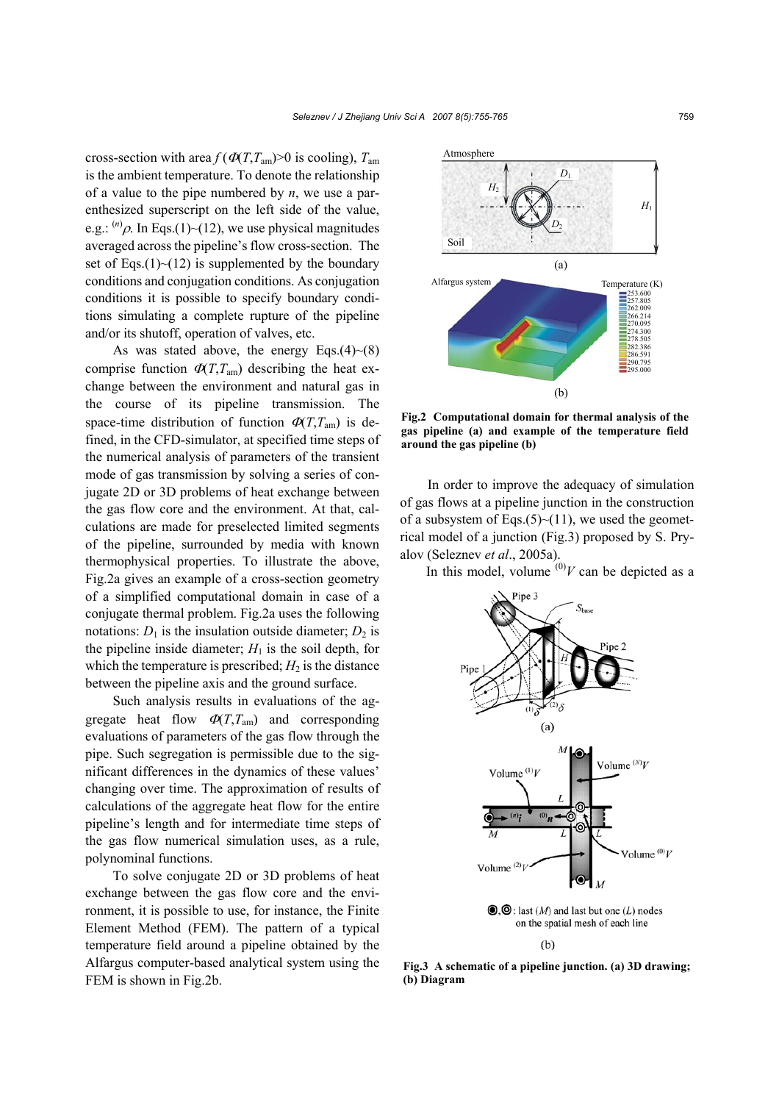cross-section with area  $f(\phi(T, T_{\text{am}}) > 0$  is cooling),  $T_{\text{am}}$ is the ambient temperature. To denote the relationship of a value to the pipe numbered by *n*, we use a parenthesized superscript on the left side of the value, e.g.:  $(n)$ , In Eqs.(1) ~ (12), we use physical magnitudes averaged across the pipeline's flow cross-section. The set of Eqs.(1) $\sim$ (12) is supplemented by the boundary conditions and conjugation conditions. As conjugation conditions it is possible to specify boundary conditions simulating a complete rupture of the pipeline and/or its shutoff, operation of valves, etc.

As was stated above, the energy Eqs.(4) $\sim$ (8) comprise function  $\Phi(T,T_{\text{am}})$  describing the heat exchange between the environment and natural gas in the course of its pipeline transmission. The space-time distribution of function  $\Phi(T,T_{\text{am}})$  is defined, in the CFD-simulator, at specified time steps of the numerical analysis of parameters of the transient mode of gas transmission by solving a series of conjugate 2D or 3D problems of heat exchange between the gas flow core and the environment. At that, calculations are made for preselected limited segments of the pipeline, surrounded by media with known thermophysical properties. To illustrate the above, Fig.2а gives an example of a cross-section geometry of a simplified computational domain in case of a conjugate thermal problem. Fig.2а uses the following notations:  $D_1$  is the insulation outside diameter;  $D_2$  is the pipeline inside diameter;  $H_1$  is the soil depth, for which the temperature is prescribed;  $H_2$  is the distance between the pipeline axis and the ground surface.

Such analysis results in evaluations of the aggregate heat flow  $\Phi(T, T_{\text{am}})$  and corresponding evaluations of parameters of the gas flow through the pipe. Such segregation is permissible due to the significant differences in the dynamics of these values' changing over time. The approximation of results of calculations of the aggregate heat flow for the entire pipeline's length and for intermediate time steps of the gas flow numerical simulation uses, as a rule, polynominal functions.

To solve conjugate 2D or 3D problems of heat exchange between the gas flow core and the environment, it is possible to use, for instance, the Finite Element Method (FEM). The pattern of a typical temperature field around a pipeline obtained by the Alfargus computer-based analytical system using the FEM is shown in Fig.2b.



 **around the gas pipeline (b) Fig.2 Computational domain for thermal analysis of the gas pipeline (a) and example of the temperature field**

In order to improve the adequacy of simulation of gas flows at a pipeline junction in the construction of a subsystem of Eqs.(5) $\sim$ (11), we used the geometrical model of a junction (Fig.3) proposed by S. Pryalov (Seleznev *et al*., 2005a).

In this model, volume  $^{(0)}V$  can be depicted as a



**Fig.3 A schematic of a pipeline junction. (а) 3D drawing; (b) Diagram**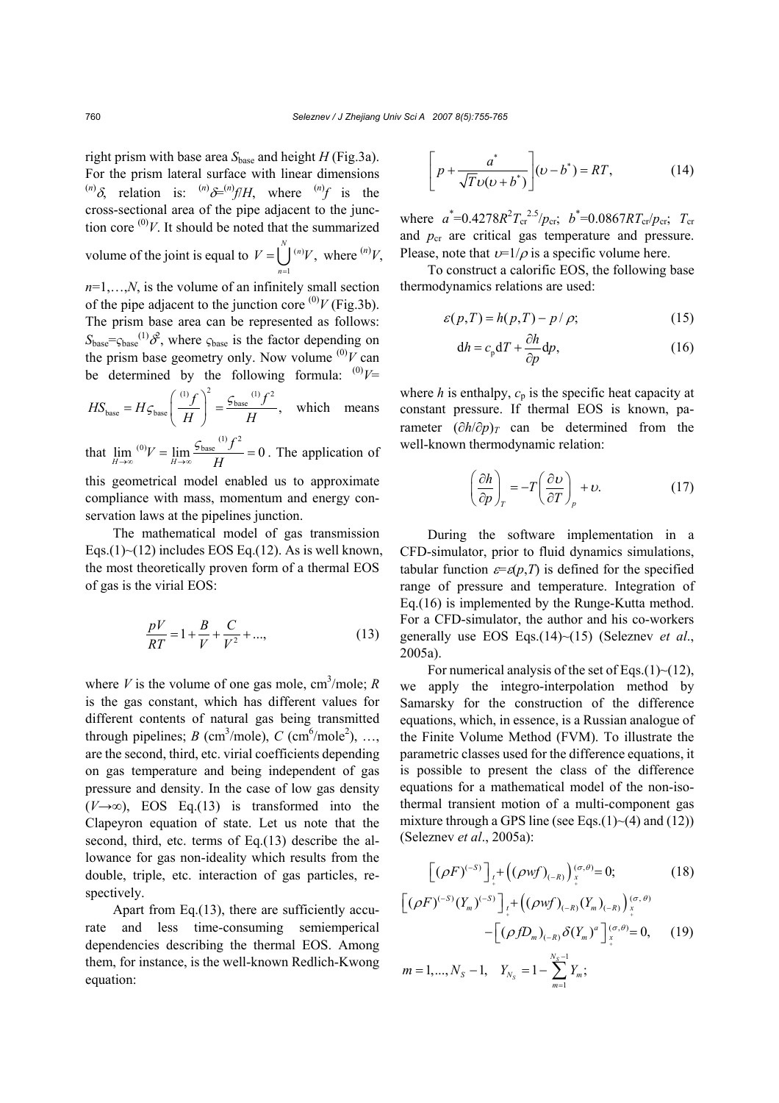right prism with base area  $S_{base}$  and height *H* (Fig.3a). For the prism lateral surface with linear dimensions  $(n)$ <sub> $\delta$ </sub>, relation is:  $(n)$  $\delta \in {\mathcal{F}}(n)$ *f* $H$ , where  $(n)$ *f* is the cross-sectional area of the pipe adjacent to the junction core  $^{(0)}V$ . It should be noted that the summarized volume of the joint is equal to  $V = \int_0^{(n)}$ 1  $\int^{N} (n) V,$ *n*  $V = \left( \int^{n} V$  $=\bigcup_{n=1}^{(n)}V$ , where  ${}^{(n)}V$ , *n*=1,…,*N*, is the volume of an infinitely small section of the pipe adjacent to the junction core  $^{(0)}V$  (Fig.3b).

The prism base area can be represented as follows:  $S_{base} = \varsigma_{base}^{(1)} \delta^2$ , where  $\varsigma_{base}$  is the factor depending on the prism base geometry only. Now volume  $^{(0)}V$  can be determined by the following formula:  $^{(0)}V=$ 

$$
H\mathcal{S}_{\text{base}} = H\mathcal{S}_{\text{base}} \left(\frac{^{(1)}f}{H}\right)^2 = \frac{\mathcal{S}_{\text{base}}^{^{(1)}f^2}}{H}, \quad \text{which} \quad \text{means}
$$

that  $\lim_{H \to \infty} {}^{(0)}V = \lim_{H \to \infty} \frac{\zeta_{base} {}^{(1)}f^2}{H} = 0$ *H*  $\lim_{\Delta \to \infty} {}^{(0)}V = \lim_{H \to \infty} \frac{\mathcal{S}_{base} {}^{(0)}J}{H} = 0$ . The application of

this geometrical model enabled us to approximate compliance with mass, momentum and energy conservation laws at the pipelines junction.

The mathematical model of gas transmission Eqs.(1) $\sim$ (12) includes EOS Eq.(12). As is well known, the most theoretically proven form of a thermal EOS of gas is the virial EOS:

$$
\frac{pV}{RT} = 1 + \frac{B}{V} + \frac{C}{V^2} + ..., \tag{13}
$$

where *V* is the volume of one gas mole,  $\text{cm}^3/\text{mole}$ ; *R* is the gas constant, which has different values for different contents of natural gas being transmitted through pipelines; *B* (cm<sup>3</sup>/mole), *C* (cm<sup>6</sup>/mole<sup>2</sup>), ..., are the second, third, etc. virial coefficients depending on gas temperature and being independent of gas pressure and density. In the case of low gas density  $(V\rightarrow\infty)$ , EOS Eq.(13) is transformed into the Clapeyron equation of state. Let us note that the second, third, etc. terms of Eq.(13) describe the allowance for gas non-ideality which results from the double, triple, etc. interaction of gas particles, respectively.

Apart from Eq.(13), there are sufficiently accurate and less time-consuming semiemperical dependencies describing the thermal EOS. Among them, for instance, is the well-known Redlich-Kwong equation:

$$
\left[p + \frac{a^*}{\sqrt{T}v(v+b^*)}\right](v-b^*) = RT,\tag{14}
$$

where  $a^* = 0.4278R^2T_{cr}^{2.5}/p_{cr}$ ;  $b^* = 0.0867RT_{cr}/p_{cr}$ ;  $T_{cr}$ and  $p_{cr}$  are critical gas temperature and pressure. Please, note that  $v=1/\rho$  is a specific volume here.

To construct a calorific EOS, the following base thermodynamics relations are used:

$$
\varepsilon(p,T) = h(p,T) - p/\rho; \qquad (15)
$$

$$
dh = c_p dT + \frac{\partial h}{\partial p} dp,
$$
 (16)

where  $h$  is enthalpy,  $c_p$  is the specific heat capacity at constant pressure. If thermal EOS is known, parameter  $(\partial h/\partial p)_T$  can be determined from the well-known thermodynamic relation:

$$
\left(\frac{\partial h}{\partial p}\right)_T = -T\left(\frac{\partial v}{\partial T}\right)_p + v.\tag{17}
$$

During the software implementation in a CFD-simulator, prior to fluid dynamics simulations, tabular function  $\varepsilon = \varepsilon(p,T)$  is defined for the specified range of pressure and temperature. Integration of Eq.(16) is implemented by the Runge-Kutta method. For a CFD-simulator, the author and his co-workers generally use EOS Eqs.(14)~(15) (Seleznev *et al*., 2005a).

For numerical analysis of the set of Eqs.(1) $\sim$ (12), we apply the integro-interpolation method by Samarsky for the construction of the difference equations, which, in essence, is a Russian analogue of the Finite Volume Method (FVM). To illustrate the parametric classes used for the difference equations, it is possible to present the class of the difference equations for a mathematical model of the non-isothermal transient motion of a multi-component gas mixture through a GPS line (see Eqs.(1) $\sim$ (4) and (12)) (Seleznev *et al*., 2005a):

$$
\left[ (\rho F)^{(-S)} \right]_t + ((\rho wf)_{(-R)})_x^{(\sigma,\theta)} = 0; \tag{18}
$$
\n
$$
\left[ (\rho F)^{(-S)} (Y_m)^{(-S)} \right]_t + ((\rho wf)_{(-R)} (Y_m)_{(-R)})_x^{(\sigma,\theta)}
$$

$$
(\rho F)^{(-S)} (Y_m)^{(-S)} \Big]_{\substack{t \\ \downarrow}} + ((\rho w f)_{(-R)} (Y_m)_{(-R)})^{\sigma, \theta}_{\substack{x \\ \downarrow}} \\ - [(\rho f D_m)_{(-R)} \delta(Y_m)^a]_{\substack{x \\ \downarrow}}^{\sigma, \theta)} = 0, \quad (19)
$$

$$
m=1,...,N_{S}-1, Y_{N_{S}}=1-\sum_{m=1}^{N_{S}-1}Y_{m};
$$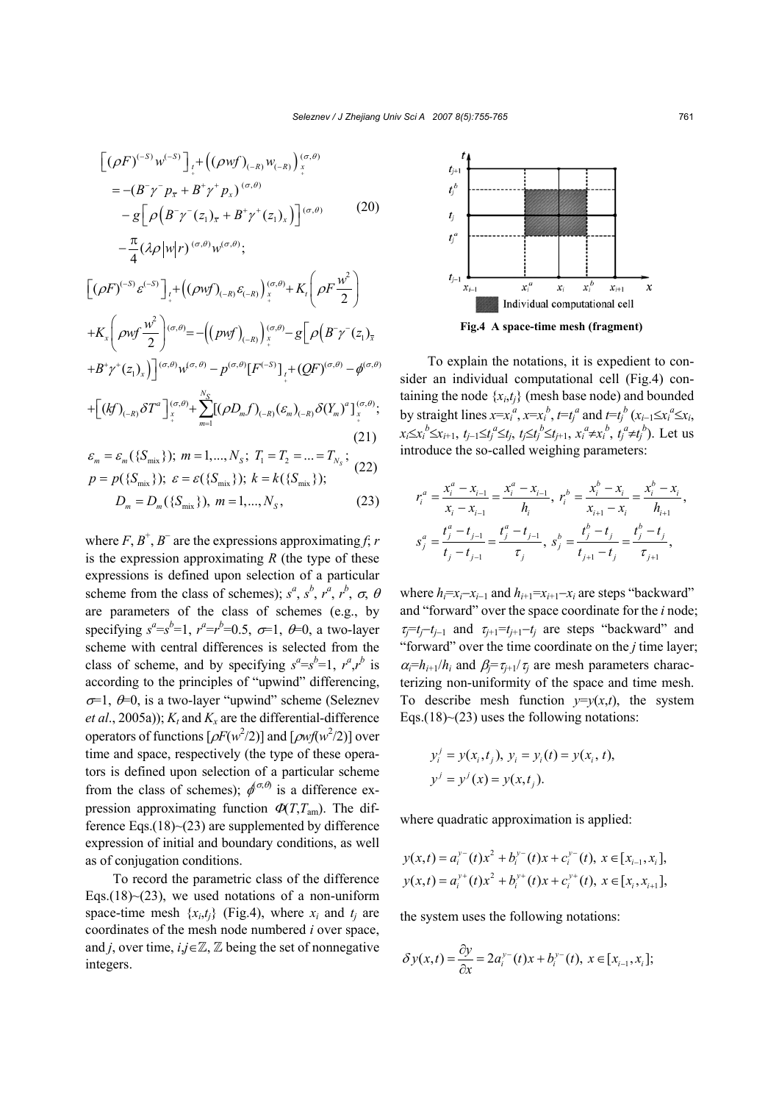$$
\begin{split}\n&\left[ (\rho F)^{(-S)} w^{(-S)} \right]_{\frac{t}{t}} + \left( (\rho wf)_{(-R)} w_{(-R)} \right)_{\frac{x}{t}}^{(\sigma,\theta)} \\
&= -(B^{\sigma} \gamma^{-} p_{\overline{x}} + B^{\sigma} \gamma^{+} p_{x})^{(\sigma,\theta)} \\
&- g \left[ \rho \left( B^{\sigma} \gamma^{-} (z_{1})_{\overline{x}} + B^{\sigma} \gamma^{+} (z_{1})_{x} \right) \right]^{(\sigma,\theta)} \qquad (20) \\
&\quad - \frac{\pi}{4} (\lambda \rho |w| r)^{(\sigma,\theta)} w^{(\sigma,\theta)}; \\
&\left[ (\rho F)^{(-S)} \varepsilon^{(-S)} \right]_{\frac{t}{t}} + \left( (\rho wf)_{(-R)} \varepsilon_{(-R)} \right)_{\frac{x}{t}}^{(\sigma,\theta)} + K_{t} \left( \rho F \frac{w^{2}}{2} \right) \\
&+ K_{x} \left( \rho wf \frac{w^{2}}{2} \right)_{(\sigma,\theta)} = - \left( (\rho wf)_{(-R)} \right)_{(\frac{r}{k})}^{(\sigma,\theta)} - g \left[ \rho \left( B^{\sigma} \gamma^{-} (z_{1})_{\overline{x}} \right) \right]_{(\frac{r}{k})}^{(\sigma,\theta)} \\
&= - \left( \rho w f \right)_{(-R)} \left( \rho w f \right)_{(\frac{r}{k})}^{(\sigma,\theta)} \\
&= - \left( \rho w f \right)_{(-R)} \left( \rho w f \right)_{(\frac{r}{k})}^{(\frac{r}{k})} \\
&= - \left( \rho w f \right)_{(-R)} \left( \rho w f \right)_{(\frac{r}{k})}^{(\frac{r}{k})} \\
&= - \left( \rho w f \right)_{(-R)} \left( \rho w f \right)_{(\frac{r}{k})}^{(\frac{r}{k})} \\
&= - \left( \rho w f \right)_{(-R)} \left( \rho w f \right)_{(\frac{r}{k})}^{(\frac{r}{k})} \\
&= - \left( \rho w f \right)_{(\frac{r}{k})}^{(\frac{r}{k})} \\
&= - \left( \rho w f \right)_{(\frac{r}{k})}^{(\frac{r}{k})} \\
&= - \left( \rho w f \right)_{(\frac{r}{k})}^{(\frac{r}{k})} \\
&= - \left( \rho w f \right)_{(\frac{
$$

$$
+K_x \left( \rho \omega f \frac{w}{2} \right)^{(\sigma,\theta)} = -\left( \left( \rho \omega f \right)_{(-R)} \right)^{(\sigma,\theta)}_{x} - g \left[ \rho \left( B^{-} \gamma^{-}(z_1)_{\overline{x}} \right) \right.
$$
  
\n
$$
+B^{+} \gamma^{+}(z_1)_{x} \right)^{(\sigma,\theta)} \omega^{(\sigma,\theta)} - p^{(\sigma,\theta)} \left[ F^{(-S)} \right]_{t} + (QF)^{(\sigma,\theta)} - \phi^{(\sigma,\theta)}
$$
  
\n
$$
+ \left[ \left( kf \right)_{(-R)} \delta T^{a} \right]_{x}^{(\sigma,\theta)} + \sum_{r=0}^{N_S} \left[ \left( \rho D_{m} f \right)_{(-R)} (\varepsilon_{m})_{(-R)} \delta \left( Y_{m} \right)^{a} \right]_{x}^{(\sigma,\theta)};
$$

$$
c_{n} = c_{n} (S_{n}) \cdot m - 1 \qquad N \cdot T - T = -T
$$
 (21)

$$
\varepsilon_m = \varepsilon_m(\{S_{\text{mix}}\}); \ m = 1, ..., N_S; \ T_1 = T_2 = ... = T_{N_S};
$$
  
\n
$$
p = p(\{S_{\text{mix}}\}); \ \varepsilon = \varepsilon(\{S_{\text{mix}}\}); \ k = k(\{S_{\text{mix}}\});
$$
 (22)

$$
D_m = D_m(\{S_{\text{mix}}\}), \ m = 1, ..., N_S, \tag{23}
$$

where  $F, B^+, B^-$  are the expressions approximating  $f, r$ is the expression approximating *R* (the type of these expressions is defined upon selection of a particular scheme from the class of schemes);  $s^a$ ,  $s^b$ ,  $r^a$ ,  $r^b$ ,  $\sigma$ ,  $\theta$ are parameters of the class of schemes (e.g., by specifying  $s^a = s^b = 1$ ,  $r^a = r^b = 0.5$ ,  $\sigma = 1$ ,  $\theta = 0$ , a two-layer scheme with central differences is selected from the class of scheme, and by specifying  $s^a = s^b = 1$ ,  $r^a$ ,  $r^b$  is according to the principles of "upwind" differencing,  $\sigma=1$ ,  $\theta=0$ , is a two-layer "upwind" scheme (Seleznev *et al.*, 2005a));  $K_t$  and  $K_x$  are the differential-difference operators of functions  $[\rho F(w^2/2)]$  and  $[\rho w f(w^2/2)]$  over time and space, respectively (the type of these operators is defined upon selection of a particular scheme from the class of schemes);  $\phi^{\sigma,\theta}$  is a difference expression approximating function  $\Phi(T, T_{\text{am}})$ . The difference Eqs. $(18)$  - $(23)$  are supplemented by difference expression of initial and boundary conditions, as well as of conjugation conditions.

To record the parametric class of the difference Eqs.(18) $\sim$ (23), we used notations of a non-uniform space-time mesh  $\{x_i, t_i\}$  (Fig.4), where  $x_i$  and  $t_i$  are coordinates of the mesh node numbered *i* over space, and *j*, over time,  $i, j \in \mathbb{Z}$ ,  $\mathbb{Z}$  being the set of nonnegative integers.



**Fig.4 A space-time mesh (fragment)**

To explain the notations, it is expedient to consider an individual computational cell (Fig.4) containing the node  $\{x_i, t_i\}$  (mesh base node) and bounded by straight lines  $x=x_i^a$ ,  $x=x_i^b$ ,  $t=t_j^a$  and  $t=t_j^b$  ( $x_{i-1} \le x_i^a \le x_i$ ,  $x_i \leq x_i^b \leq x_{i+1}, t_{j-1} \leq t_j^a \leq t_j, t_j \leq t_j^b \leq t_{j+1}, x_i^a \neq x_i^b, t_j^a \neq t_j^b$ ). Let us introduce the so-called weighing parameters:

$$
r_i^a = \frac{x_i^a - x_{i-1}}{x_i - x_{i-1}} = \frac{x_i^a - x_{i-1}}{h_i}, \ r_i^b = \frac{x_i^b - x_i}{x_{i+1} - x_i} = \frac{x_i^b - x_i}{h_{i+1}},
$$

$$
s_j^a = \frac{t_j^a - t_{j-1}}{t_j - t_{j-1}} = \frac{t_j^a - t_{j-1}}{\tau_j}, \ s_j^b = \frac{t_j^b - t_j}{t_{j+1} - t_j} = \frac{t_j^b - t_j}{\tau_{j+1}},
$$

where  $h_i = x_i - x_{i-1}$  and  $h_{i+1} = x_{i+1} - x_i$  are steps "backward" and "forward" over the space coordinate for the *i* node;  $\tau_i = t_i - t_{i-1}$  and  $\tau_{i+1} = t_{i+1} - t_i$  are steps "backward" and "forward" over the time coordinate on the *j* time layer;  $\alpha_i = h_{i+1}/h_i$  and  $\beta_i = \tau_{i+1}/\tau_i$  are mesh parameters characterizing non-uniformity of the space and time mesh. To describe mesh function  $y=y(x,t)$ , the system Eqs.(18) $\sim$ (23) uses the following notations:

$$
y_i^j = y(x_i, t_j), y_i = y_i(t) = y(x_i, t),
$$
  
 $y^j = y^j(x) = y(x, t_j).$ 

where quadratic approximation is applied:

$$
y(x,t) = a_i^{y-}(t)x^2 + b_i^{y-}(t)x + c_i^{y-}(t), \ x \in [x_{i-1}, x_i],
$$
  

$$
y(x,t) = a_i^{y+}(t)x^2 + b_i^{y+}(t)x + c_i^{y+}(t), \ x \in [x_i, x_{i+1}],
$$

the system uses the following notations:

$$
\delta y(x,t) = \frac{\partial y}{\partial x} = 2a_i^{y-}(t)x + b_i^{y-}(t), \ x \in [x_{i-1}, x_i];
$$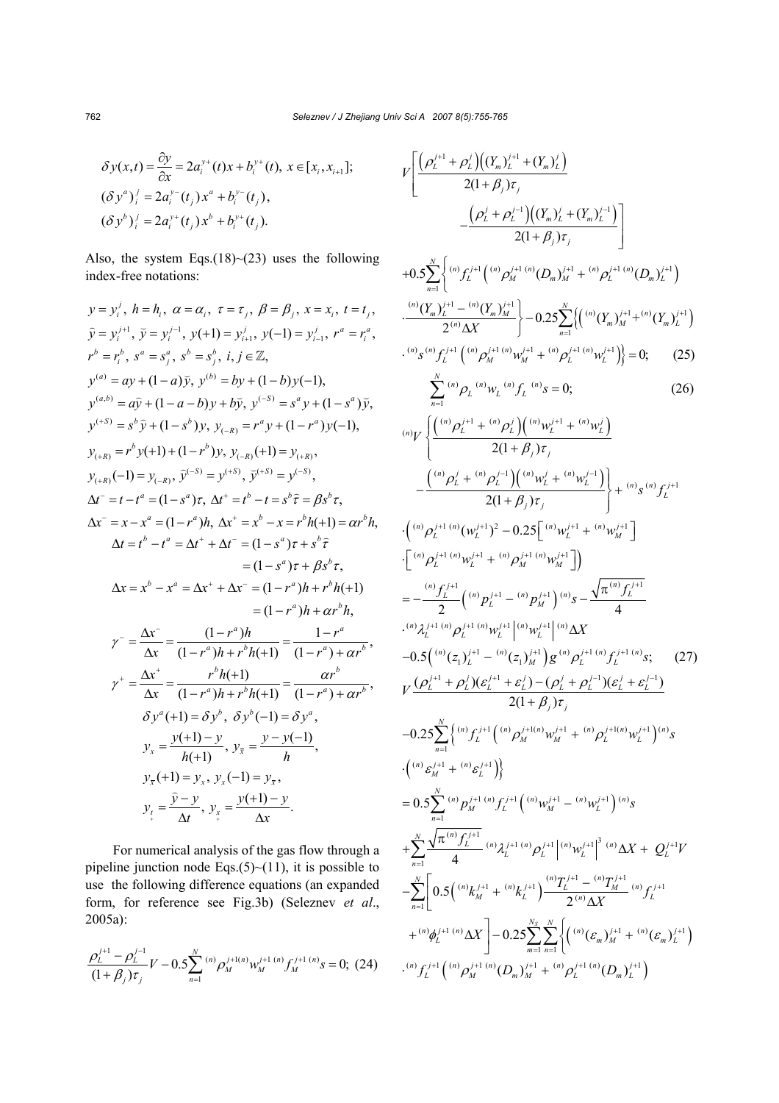$$
\delta y(x,t) = \frac{\partial y}{\partial x} = 2a_i^{y+}(t)x + b_i^{y+}(t), \ x \in [x_i, x_{i+1}];
$$
  
\n
$$
(\delta y^a)_i^j = 2a_i^{y-}(t_j)x^a + b_i^{y-}(t_j),
$$
  
\n
$$
(\delta y^b)_i^j = 2a_i^{y+}(t_j)x^b + b_i^{y+}(t_j).
$$

Also, the system Eqs.(18) $\sim$ (23) uses the following index-free notations:

$$
y = y_i^j, h = h_i, \alpha = \alpha_i, \tau = \tau_j, \beta = \beta_j, x = x_i, t = t_j, \n\hat{y} = y_i^{j+1}, \vec{y} = y_i^{j-1}, y(+1) = y_{i+1}^j, y(-1) = y_{i-1}^j, r^a = r_i^a, \nr^b = r_i^b, s^a = s_j^a, s^b = s_j^b, i, j \in \mathbb{Z}, \ny^{(a)} = ay + (1 - a)\tilde{y}, y^{(b)} = by + (1 - b)y(-1), \ny^{(a,b)} = a\hat{y} + (1 - a - b)y + b\tilde{y}, y^{(-S)} = s^a y + (1 - s^a)\tilde{y}, \ny^{(+S)} = s^b \hat{y} + (1 - s^b)y, y_{(-R)} = r^a y + (1 - r^a)y(-1), \ny_{(+R)} = r^b y(+1) + (1 - r^b)y, y_{(-R)}(+1) = y_{(+R)}, \ny_{(+R)}(-1) = y_{(-R)}, \hat{y}^{(-S)} = y^{(+S)}, \tilde{y}^{(+S)} = y^{(-S)}, \n\Delta t = t - t^a = (1 - s^a)\tau, \Delta t^+ = t^b - t = s^b\hat{\tau} = \beta s^b\tau, \n\Delta x = x - x^a = (1 - r^a)h, \Delta x^+ = x^b - x = r^b h(+1) = \alpha r^b h, \n\Delta t = t^b - t^a = \Delta t^+ + \Delta t^- = (1 - s^a)\tau + s^b\tilde{\tau} = (1 - s^a)\tau + \beta s^b\tau, \n\Delta x = x^b - x^a = \Delta x^+ + \Delta x^- = (1 - r^a)h + r^b h(+1) = (1 - r^a)h + \alpha r^b h, \ny^- = \frac{\Delta x^-}{\Delta x} = \frac{(1 - r^a)h + r^b h(+1)}{(1 - r^a)h + r^b h(+1)} = \frac{1 - r^a}{(1 - r^a) + \alpha r^b}, \ny^+ = \frac{\Delta x^+}{\Delta x} = \frac{r^b h(+1)}{(1 - r^a)h + r^b h(+1)} = \frac{\alpha r^b}{(1 - r^a) + \alpha r^b}, \n\delta y^a(+1)
$$

For numerical analysis of the gas flow through a pipeline junction node Eqs.(5) $\sim$ (11), it is possible to use the following difference equations (an expanded form, for reference see Fig.3b) (Seleznev *et al*., 2005a):

$$
\frac{\rho_L^{j+1} - \rho_L^{j-1}}{(1+\beta_j)\tau_j} V - 0.5 \sum_{n=1}^N \binom{n}{M} \rho_M^{j+1(n)} W_M^{j+1(n)} f_M^{j+1(n)} s = 0; \tag{24}
$$

$$
V \left[ \left( \frac{\rho_L^{j+1} + \rho_L^{j} \right) \left( (Y_m)^{j+1} + (Y_m)^{j} \right)}{2(1+\beta_j)\tau_j} - \frac{(\rho_L^{j+1} + \rho_L^{j+1} \right) \left( (Y_m)^{j} + (Y_m)^{j-1} \right)}{2(1+\beta_j)\tau_j} \right]
$$
  
+0.5
$$
\sum_{n=1}^{N} \left\{ \frac{(n)\rho_L^{j+1} \left( (n)\rho_M^{j+1} (n) (D_m)^{j+1} \right) + (n)\rho_L^{j+1} (n) (D_m)^{j+1} \right\}}{2^{(n)} \Delta X} \right\} - 0.25 \sum_{n=1}^{N} \left\{ \left( \frac{(n)\left( Y_m \right)^{j+1} \right) + (n)\rho_M^{j+1} (n) (Y_m)^{j+1} \right\}}{2^{(n)} \Delta X} \right\} - 0.25 \sum_{n=1}^{N} \left\{ \left( \frac{(n)\left( Y_m \right)^{j+1} \right) + (n)\left( Y_m \right)^{j+1} \right\}}{2^{(n)} \rho_L^{(n)} \left( y_m^{(n)} \right) + (n)\rho_M^{j+1} (n) (Y_m)^{j+1} \right\} = 0; \qquad (25)
$$

$$
\sum_{n=1}^{N} \frac{(n)\rho_L^{(n)} \left( y_L^{(n)} \right) + (n)\rho_L^{j+1} (n) (y_L^{j+1} + (n) y_L^{j})}{2(1+\beta_j)\tau_j} - \frac{\left( \frac{(n)\rho_L^{j+1} + (n)\rho_L^{j}}{2(1+\beta_j)\tau_j} \right) + (n)\rho_M^{(n)} \right\}}{2(1+\beta_j)\tau_j} + \frac{(n)\rho_L^{j+1} (n) (y_L^{j+1})^2 - 0.25 \left[ \frac{(n)\rho_L^{j+1} + (n)\rho_L^{j+1}}{2(1+\beta_j)\tau_j} \right]} + \frac{(n)\rho_M^{(n)} \left( \frac{(n)\rho_L^{j+1} (n) (y_L^{j+1})^2 - 0.25 \left[ \frac{(n)\rho_L^{j+1} (n) (y_L^{j+1} + (n) y_L^{j+1})}{2(1+\beta_j)\tau_j} \right]} \right\}
$$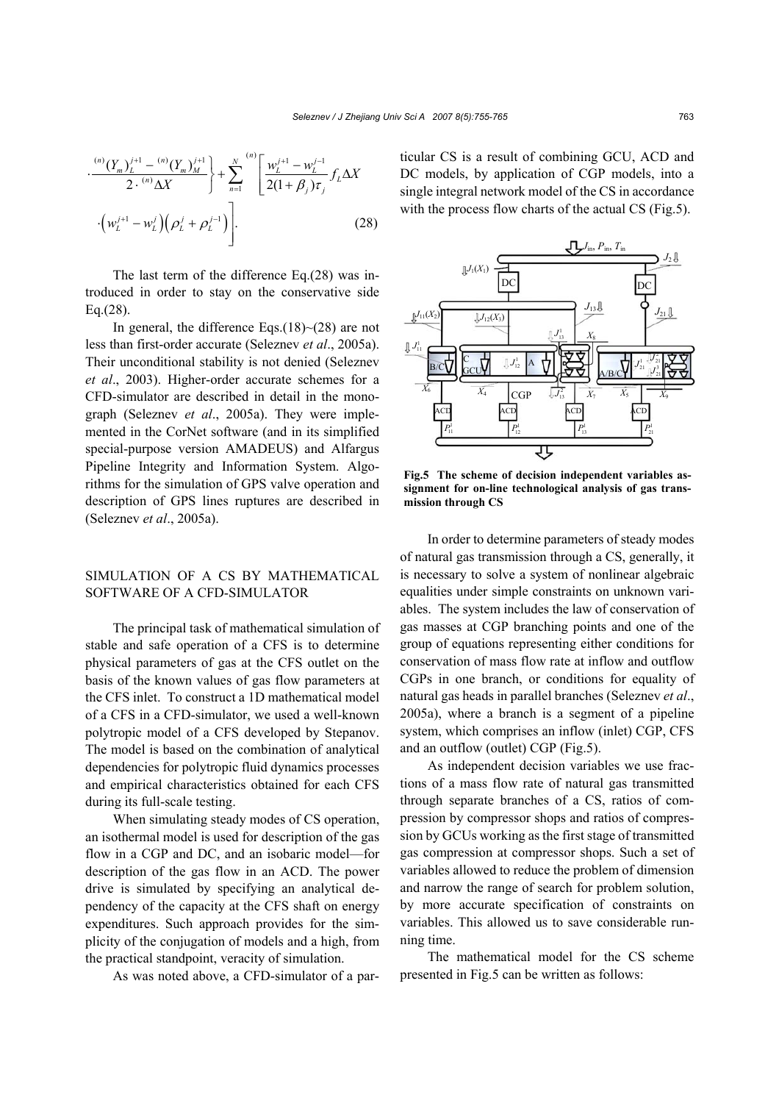$$
\left\{\frac{(n)(Y_m)^{j+1}_{L} - (n)(Y_m)^{j+1}_{M}}{2 \cdot (n)\Delta X}\right\} + \sum_{n=1}^{N} \left[\frac{w_L^{j+1} - w_L^{j-1}}{2(1+\beta_j)\tau_j} f_L \Delta X\right]
$$

$$
\left\{\left(w_L^{j+1} - w_L^{j}\right)\left(\rho_L^{j} + \rho_L^{j-1}\right)\right].
$$
(28)

The last term of the difference Eq.(28) was introduced in order to stay on the conservative side Eq.(28).

In general, the difference Eqs. $(18)~(28)$  are not less than first-order accurate (Seleznev *et al*., 2005a). Their unconditional stability is not denied (Seleznev *et al*., 2003). Higher-order accurate schemes for a CFD-simulator are described in detail in the monograph (Seleznev *et al*., 2005a). They were implemented in the CorNet software (and in its simplified special-purpose version AMADEUS) and Alfargus Pipeline Integrity and Information System. Algorithms for the simulation of GPS valve operation and description of GPS lines ruptures are described in (Seleznev *et al*., 2005a).

## SIMULATION OF A CS BY MATHEMATICAL SOFTWARE OF A CFD-SIMULATOR

The principal task of mathematical simulation of stable and safe operation of a CFS is to determine physical parameters of gas at the CFS outlet on the basis of the known values of gas flow parameters at the CFS inlet. To construct a 1D mathematical model of a CFS in a CFD-simulator, we used a well-known polytropic model of a CFS developed by Stepanov. The model is based on the combination of analytical dependencies for polytropic fluid dynamics processes and empirical characteristics obtained for each CFS during its full-scale testing.

When simulating steady modes of CS operation, an isothermal model is used for description of the gas flow in a CGP and DC, and an isobaric model—for description of the gas flow in an ACD. The power drive is simulated by specifying an analytical dependency of the capacity at the CFS shaft on energy expenditures. Such approach provides for the simplicity of the conjugation of models and a high, from the practical standpoint, veracity of simulation.

As was noted above, a CFD-simulator of a par-

ticular CS is a result of combining GCU, ACD and DC models, by application of CGP models, into a single integral network model of the CS in accordance with the process flow charts of the actual CS (Fig.5).



**Fig.5 The scheme of decision independent variables assignment for on-line technological analysis of gas transmission through CS**

In order to determine parameters of steady modes of natural gas transmission through a CS, generally, it is necessary to solve a system of nonlinear algebraic equalities under simple constraints on unknown variables. The system includes the law of conservation of gas masses at CGP branching points and one of the group of equations representing either conditions for conservation of mass flow rate at inflow and outflow CGPs in one branch, or conditions for equality of natural gas heads in parallel branches (Seleznev *et al*., 2005a), where a branch is a segment of a pipeline system, which comprises an inflow (inlet) CGP, CFS and an outflow (outlet) CGP (Fig.5).

As independent decision variables we use fractions of a mass flow rate of natural gas transmitted through separate branches of a CS, ratios of compression by compressor shops and ratios of compression by GCUs working as the first stage of transmitted gas compression at compressor shops. Such a set of variables allowed to reduce the problem of dimension and narrow the range of search for problem solution, by more accurate specification of constraints on variables. This allowed us to save considerable running time.

The mathematical model for the CS scheme presented in Fig.5 can be written as follows: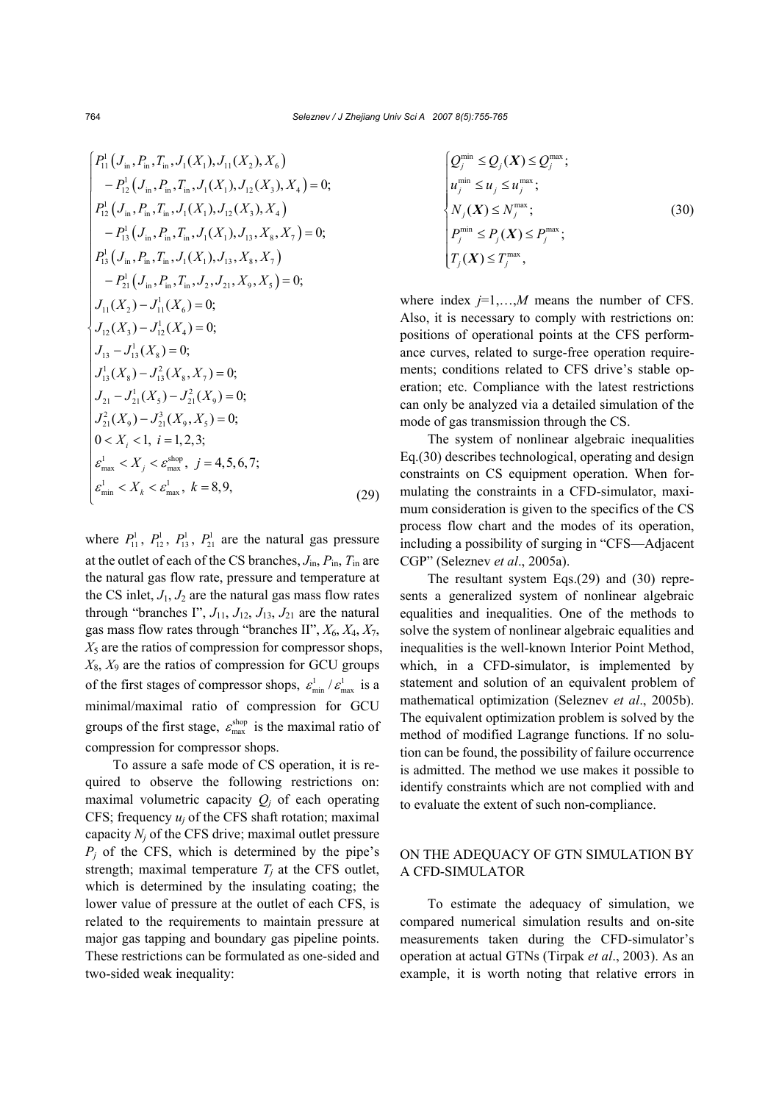764 *Seleznev / J Zhejiang Univ Sci A 2007 8(5):755-765*

$$
\begin{cases}\nP_{11}^{1}(J_{in}, P_{in}, T_{in}, J_{1}(X_{1}), J_{11}(X_{2}), X_{6}) \\
-P_{12}^{1}(J_{in}, P_{in}, T_{in}, J_{1}(X_{1}), J_{12}(X_{3}), X_{4}) = 0; \\
P_{12}^{1}(J_{in}, P_{in}, T_{in}, J_{1}(X_{1}), J_{12}(X_{3}), X_{4}) \\
-P_{13}^{1}(J_{in}, P_{in}, T_{in}, J_{1}(X_{1}), J_{13}, X_{8}, X_{7}) = 0; \\
P_{13}^{1}(J_{in}, P_{in}, T_{in}, J_{1}(X_{1}), J_{13}, X_{8}, X_{7}) \\
-P_{21}^{1}(J_{in}, P_{in}, T_{in}, J_{2}, J_{21}, X_{9}, X_{5}) = 0; \\
J_{11}(X_{2}) - J_{11}^{1}(X_{6}) = 0; \\
J_{12}(X_{3}) - J_{12}^{1}(X_{4}) = 0; \\
J_{13} - J_{13}^{1}(X_{8}) = 0; \\
J_{13} - J_{13}^{1}(X_{8}) = 0; \\
J_{13} - J_{21}^{1}(X_{5}) - J_{21}^{2}(X_{9}) = 0; \\
J_{21} - J_{21}^{1}(X_{5}) - J_{21}^{2}(X_{9}) = 0; \\
J_{21}^{2}(X_{9}) - J_{21}^{3}(X_{9}, X_{5}) = 0; \\
0 < X_{i} < 1, i = 1, 2, 3; \\
\varepsilon_{\text{max}}^{1} < X_{j} < \varepsilon_{\text{max}}^{1}, j = 4, 5, 6, 7; \\
\varepsilon_{\text{min}}^{1} < X_{k} < \varepsilon_{\text{max}}^{1}, k = 8, 9,\n\end{cases} \tag{29}
$$

where  $P_{11}^1$ ,  $P_{12}^1$ ,  $P_{13}^1$ ,  $P_{21}^1$  are the natural gas pressure at the outlet of each of the CS branches, *J*in, *P*in, *T*in are the natural gas flow rate, pressure and temperature at the CS inlet,  $J_1$ ,  $J_2$  are the natural gas mass flow rates through "branches I",  $J_{11}$ ,  $J_{12}$ ,  $J_{13}$ ,  $J_{21}$  are the natural gas mass flow rates through "branches II",  $X_6$ ,  $X_4$ ,  $X_7$ ,  $X_5$  are the ratios of compression for compressor shops,  $X_8$ ,  $X_9$  are the ratios of compression for GCU groups of the first stages of compressor shops,  $\varepsilon_{\min}^{\perp}/\varepsilon_{\max}^{\perp}$  is a minimal/maximal ratio of compression for GCU groups of the first stage,  $\varepsilon_{\text{max}}^{\text{stop}}$  is the maximal ratio of compression for compressor shops.

To assure a safe mode of CS operation, it is required to observe the following restrictions on: maximal volumetric capacity  $Q_i$  of each operating CFS; frequency  $u_i$  of the CFS shaft rotation; maximal capacity  $N_i$  of the CFS drive; maximal outlet pressure  $P_i$  of the CFS, which is determined by the pipe's strength; maximal temperature  $T_i$  at the CFS outlet, which is determined by the insulating coating; the lower value of pressure at the outlet of each CFS, is related to the requirements to maintain pressure at major gas tapping and boundary gas pipeline points. These restrictions can be formulated as one-sided and two-sided weak inequality:

$$
\begin{cases}\nQ_j^{\min} \leq Q_j(X) \leq Q_j^{\max}; \\
u_j^{\min} \leq u_j \leq u_j^{\max}; \\
N_j(X) \leq N_j^{\max}; \\
P_j^{\min} \leq P_j(X) \leq P_j^{\max}; \\
T_j(X) \leq T_j^{\max},\n\end{cases} \tag{30}
$$

where index  $j=1,...,M$  means the number of CFS. Also, it is necessary to comply with restrictions on: positions of operational points at the CFS performance curves, related to surge-free operation requirements; conditions related to CFS drive's stable operation; etc. Compliance with the latest restrictions can only be analyzed via a detailed simulation of the mode of gas transmission through the CS.

The system of nonlinear algebraic inequalities Eq.(30) describes technological, operating and design constraints on CS equipment operation. When formulating the constraints in a CFD-simulator, maximum consideration is given to the specifics of the CS process flow chart and the modes of its operation, including a possibility of surging in "CFS—Adjacent CGP" (Seleznev *et al*., 2005a).

The resultant system Eqs.(29) and (30) represents a generalized system of nonlinear algebraic equalities and inequalities. One of the methods to solve the system of nonlinear algebraic equalities and inequalities is the well-known Interior Point Method, which, in a CFD-simulator, is implemented by statement and solution of an equivalent problem of mathematical optimization (Seleznev *et al*., 2005b). The equivalent optimization problem is solved by the method of modified Lagrange functions. If no solution can be found, the possibility of failure occurrence is admitted. The method we use makes it possible to identify constraints which are not complied with and to evaluate the extent of such non-compliance.

# ON THE ADEQUACY OF GTN SIMULATION BY A CFD-SIMULATOR

To estimate the adequacy of simulation, we compared numerical simulation results and on-site measurements taken during the CFD-simulator's operation at actual GTNs (Tirpak *et al*., 2003). As an example, it is worth noting that relative errors in